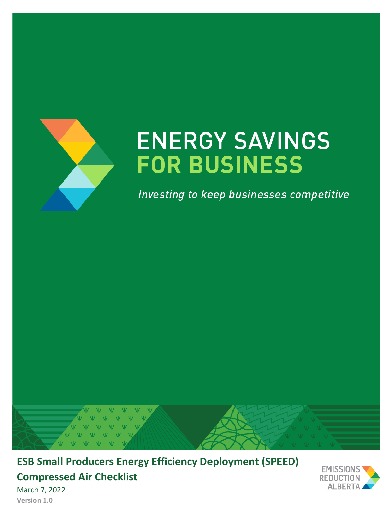

# **ENERGY SAVINGS FOR BUSINESS**

Investing to keep businesses competitive



**ESB Small Producers Energy Efficiency Deployment (SPEED) Compressed Air Checklist**



March 7, 2022 **Version 1.0**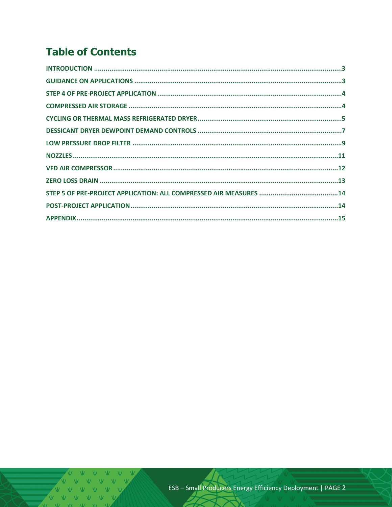# **Table of Contents**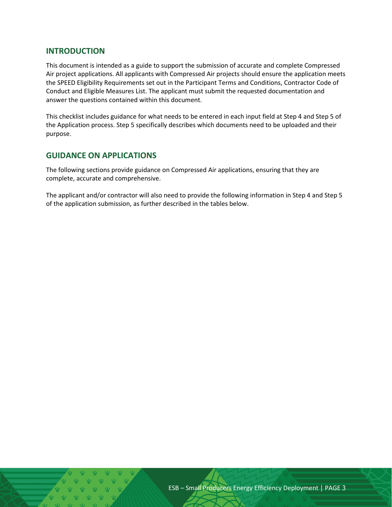#### <span id="page-2-0"></span>**INTRODUCTION**

This document is intended as a guide to support the submission of accurate and complete Compressed Air project applications. All applicants with Compressed Air projects should ensure the application meets the SPEED Eligibility Requirements set out in the Participant Terms and Conditions, Contractor Code of Conduct and Eligible Measures List. The applicant must submit the requested documentation and answer the questions contained within this document.

This checklist includes guidance for what needs to be entered in each input field at Step 4 and Step 5 of the Application process. Step 5 specifically describes which documents need to be uploaded and their purpose.

#### <span id="page-2-1"></span>**GUIDANCE ON APPLICATIONS**

The following sections provide guidance on Compressed Air applications, ensuring that they are complete, accurate and comprehensive.

The applicant and/or contractor will also need to provide the following information in Step 4 and Step 5 of the application submission, as further described in the tables below.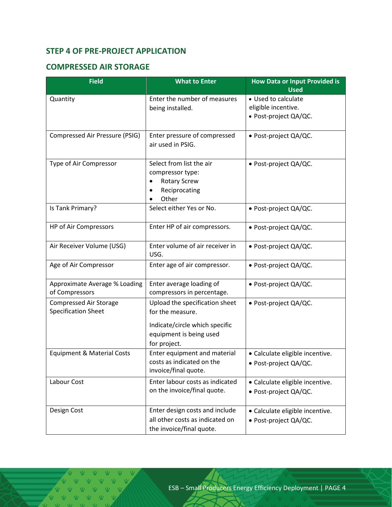## <span id="page-3-0"></span>**STEP 4 OF PRE-PROJECT APPLICATION**

#### <span id="page-3-1"></span>**COMPRESSED AIR STORAGE**

| <b>Field</b>                                                | <b>What to Enter</b>                                                                                                            | <b>How Data or Input Provided is</b><br><b>Used</b>                 |
|-------------------------------------------------------------|---------------------------------------------------------------------------------------------------------------------------------|---------------------------------------------------------------------|
| Quantity                                                    | Enter the number of measures<br>being installed.                                                                                | • Used to calculate<br>eligible incentive.<br>· Post-project QA/QC. |
| Compressed Air Pressure (PSIG)                              | Enter pressure of compressed<br>air used in PSIG.                                                                               | · Post-project QA/QC.                                               |
| Type of Air Compressor                                      | Select from list the air<br>compressor type:<br><b>Rotary Screw</b><br>٠<br>Reciprocating<br>Other                              | · Post-project QA/QC.                                               |
| Is Tank Primary?                                            | Select either Yes or No.                                                                                                        | · Post-project QA/QC.                                               |
| HP of Air Compressors                                       | Enter HP of air compressors.                                                                                                    | · Post-project QA/QC.                                               |
| Air Receiver Volume (USG)                                   | Enter volume of air receiver in<br>USG.                                                                                         | · Post-project QA/QC.                                               |
| Age of Air Compressor                                       | Enter age of air compressor.                                                                                                    | · Post-project QA/QC.                                               |
| Approximate Average % Loading<br>of Compressors             | Enter average loading of<br>compressors in percentage.                                                                          | • Post-project QA/QC.                                               |
| <b>Compressed Air Storage</b><br><b>Specification Sheet</b> | Upload the specification sheet<br>for the measure.<br>Indicate/circle which specific<br>equipment is being used<br>for project. | · Post-project QA/QC.                                               |
| <b>Equipment &amp; Material Costs</b>                       | Enter equipment and material<br>costs as indicated on the<br>invoice/final quote.                                               | · Calculate eligible incentive.<br>· Post-project QA/QC.            |
| Labour Cost                                                 | Enter labour costs as indicated<br>on the invoice/final quote.                                                                  | · Calculate eligible incentive.<br>· Post-project QA/QC.            |
| Design Cost                                                 | Enter design costs and include<br>all other costs as indicated on<br>the invoice/final quote.                                   | • Calculate eligible incentive.<br>· Post-project QA/QC.            |

V V V V VV VVVVV  $V$   $V$   $V$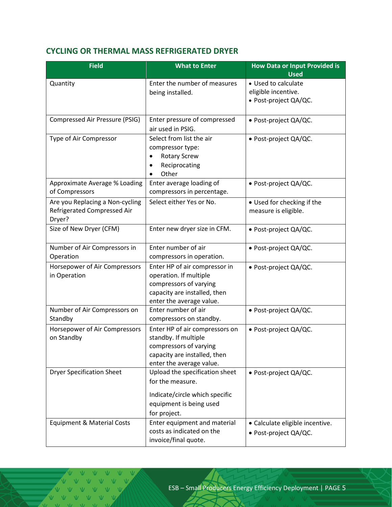# <span id="page-4-0"></span>**CYCLING OR THERMAL MASS REFRIGERATED DRYER**

| <b>Field</b>                                                             | <b>What to Enter</b>                                                                                                                          | <b>How Data or Input Provided is</b><br><b>Used</b>                 |
|--------------------------------------------------------------------------|-----------------------------------------------------------------------------------------------------------------------------------------------|---------------------------------------------------------------------|
| Quantity                                                                 | Enter the number of measures<br>being installed.                                                                                              | • Used to calculate<br>eligible incentive.<br>· Post-project QA/QC. |
| Compressed Air Pressure (PSIG)                                           | Enter pressure of compressed<br>air used in PSIG.                                                                                             | · Post-project QA/QC.                                               |
| Type of Air Compressor                                                   | Select from list the air<br>compressor type:<br><b>Rotary Screw</b><br>Reciprocating<br>Other                                                 | · Post-project QA/QC.                                               |
| Approximate Average % Loading<br>of Compressors                          | Enter average loading of<br>compressors in percentage.                                                                                        | · Post-project QA/QC.                                               |
| Are you Replacing a Non-cycling<br>Refrigerated Compressed Air<br>Dryer? | Select either Yes or No.                                                                                                                      | • Used for checking if the<br>measure is eligible.                  |
| Size of New Dryer (CFM)                                                  | Enter new dryer size in CFM.                                                                                                                  | · Post-project QA/QC.                                               |
| Number of Air Compressors in<br>Operation                                | Enter number of air<br>compressors in operation.                                                                                              | · Post-project QA/QC.                                               |
| Horsepower of Air Compressors<br>in Operation                            | Enter HP of air compressor in<br>operation. If multiple<br>compressors of varying<br>capacity are installed, then<br>enter the average value. | · Post-project QA/QC.                                               |
| Number of Air Compressors on<br>Standby                                  | Enter number of air<br>compressors on standby.                                                                                                | · Post-project QA/QC.                                               |
| Horsepower of Air Compressors<br>on Standby                              | Enter HP of air compressors on<br>standby. If multiple<br>compressors of varying<br>capacity are installed, then<br>enter the average value.  | · Post-project QA/QC.                                               |
| <b>Dryer Specification Sheet</b>                                         | Upload the specification sheet<br>for the measure.                                                                                            | · Post-project QA/QC.                                               |
|                                                                          | Indicate/circle which specific<br>equipment is being used<br>for project.                                                                     |                                                                     |
| <b>Equipment &amp; Material Costs</b>                                    | Enter equipment and material<br>costs as indicated on the<br>invoice/final quote.                                                             | • Calculate eligible incentive.<br>• Post-project QA/QC.            |

V V V VVVV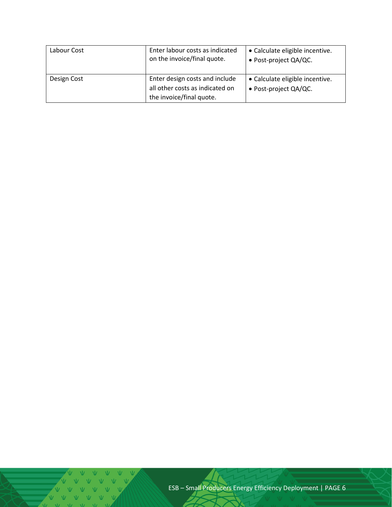| Labour Cost | Enter labour costs as indicated<br>on the invoice/final quote.                                | • Calculate eligible incentive.<br>• Post-project QA/QC. |
|-------------|-----------------------------------------------------------------------------------------------|----------------------------------------------------------|
| Design Cost | Enter design costs and include<br>all other costs as indicated on<br>the invoice/final quote. | • Calculate eligible incentive.<br>• Post-project QA/QC. |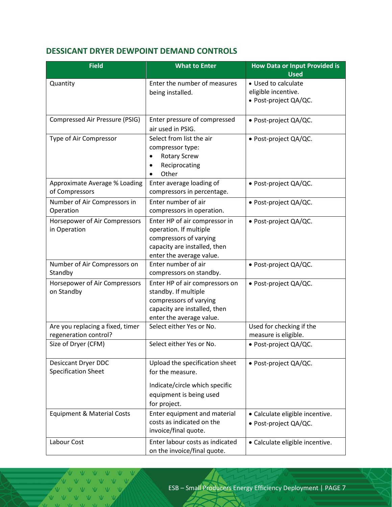#### <span id="page-6-0"></span>**DESSICANT DRYER DEWPOINT DEMAND CONTROLS**

| <b>Field</b>                          | <b>What to Enter</b>                                     | <b>How Data or Input Provided is</b><br><b>Used</b> |
|---------------------------------------|----------------------------------------------------------|-----------------------------------------------------|
| Quantity                              | Enter the number of measures                             | • Used to calculate                                 |
|                                       | being installed.                                         | eligible incentive.                                 |
|                                       |                                                          | · Post-project QA/QC.                               |
| Compressed Air Pressure (PSIG)        | Enter pressure of compressed                             | · Post-project QA/QC.                               |
|                                       | air used in PSIG.                                        |                                                     |
| Type of Air Compressor                | Select from list the air                                 | · Post-project QA/QC.                               |
|                                       | compressor type:                                         |                                                     |
|                                       | <b>Rotary Screw</b>                                      |                                                     |
|                                       | Reciprocating                                            |                                                     |
|                                       | Other                                                    |                                                     |
| Approximate Average % Loading         | Enter average loading of                                 | · Post-project QA/QC.                               |
| of Compressors                        | compressors in percentage.                               |                                                     |
| Number of Air Compressors in          | Enter number of air                                      | · Post-project QA/QC.                               |
| Operation                             | compressors in operation.                                |                                                     |
| Horsepower of Air Compressors         | Enter HP of air compressor in                            | · Post-project QA/QC.                               |
| in Operation                          | operation. If multiple                                   |                                                     |
|                                       | compressors of varying                                   |                                                     |
|                                       | capacity are installed, then                             |                                                     |
|                                       | enter the average value.                                 |                                                     |
| Number of Air Compressors on          | Enter number of air                                      | · Post-project QA/QC.                               |
| Standby                               | compressors on standby.                                  |                                                     |
| Horsepower of Air Compressors         | Enter HP of air compressors on                           | · Post-project QA/QC.                               |
| on Standby                            | standby. If multiple                                     |                                                     |
|                                       | compressors of varying                                   |                                                     |
|                                       | capacity are installed, then<br>enter the average value. |                                                     |
| Are you replacing a fixed, timer      | Select either Yes or No.                                 | Used for checking if the                            |
| regeneration control?                 |                                                          | measure is eligible.                                |
| Size of Dryer (CFM)                   | Select either Yes or No.                                 | · Post-project QA/QC.                               |
|                                       |                                                          |                                                     |
| Desiccant Dryer DDC                   | Upload the specification sheet                           | • Post-project QA/QC.                               |
| <b>Specification Sheet</b>            | for the measure.                                         |                                                     |
|                                       | Indicate/circle which specific                           |                                                     |
|                                       | equipment is being used                                  |                                                     |
|                                       | for project.                                             |                                                     |
| <b>Equipment &amp; Material Costs</b> | Enter equipment and material                             | • Calculate eligible incentive.                     |
|                                       | costs as indicated on the                                | · Post-project QA/QC.                               |
|                                       | invoice/final quote.                                     |                                                     |
| Labour Cost                           | Enter labour costs as indicated                          | • Calculate eligible incentive.                     |
|                                       | on the invoice/final quote.                              |                                                     |

VVVV  $V-V$ V V V V V  $V$   $V$  $\overline{M}$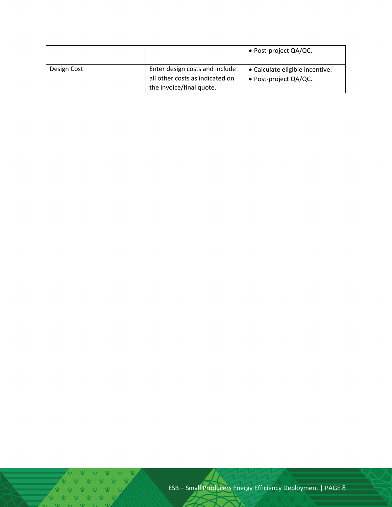|             |                                 | • Post-project QA/QC.           |
|-------------|---------------------------------|---------------------------------|
| Design Cost | Enter design costs and include  | • Calculate eligible incentive. |
|             | all other costs as indicated on | • Post-project QA/QC.           |
|             | the invoice/final quote.        |                                 |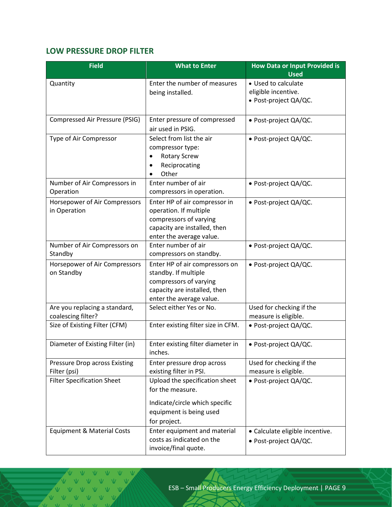# <span id="page-8-0"></span>**LOW PRESSURE DROP FILTER**

| <b>Field</b>                                        | <b>What to Enter</b>                                                                                                                          | <b>How Data or Input Provided is</b><br><b>Used</b>                 |
|-----------------------------------------------------|-----------------------------------------------------------------------------------------------------------------------------------------------|---------------------------------------------------------------------|
| Quantity                                            | Enter the number of measures<br>being installed.                                                                                              | • Used to calculate<br>eligible incentive.<br>· Post-project QA/QC. |
| Compressed Air Pressure (PSIG)                      | Enter pressure of compressed<br>air used in PSIG.                                                                                             | · Post-project QA/QC.                                               |
| Type of Air Compressor                              | Select from list the air<br>compressor type:<br><b>Rotary Screw</b><br>Reciprocating<br>Other                                                 | · Post-project QA/QC.                                               |
| Number of Air Compressors in<br>Operation           | Enter number of air<br>compressors in operation.                                                                                              | · Post-project QA/QC.                                               |
| Horsepower of Air Compressors<br>in Operation       | Enter HP of air compressor in<br>operation. If multiple<br>compressors of varying<br>capacity are installed, then<br>enter the average value. | · Post-project QA/QC.                                               |
| Number of Air Compressors on<br>Standby             | Enter number of air<br>compressors on standby.                                                                                                | · Post-project QA/QC.                                               |
| Horsepower of Air Compressors<br>on Standby         | Enter HP of air compressors on<br>standby. If multiple<br>compressors of varying<br>capacity are installed, then<br>enter the average value.  | · Post-project QA/QC.                                               |
| Are you replacing a standard,<br>coalescing filter? | Select either Yes or No.                                                                                                                      | Used for checking if the<br>measure is eligible.                    |
| Size of Existing Filter (CFM)                       | Enter existing filter size in CFM.                                                                                                            | · Post-project QA/QC.                                               |
| Diameter of Existing Filter (in)                    | Enter existing filter diameter in<br>inches.                                                                                                  | · Post-project QA/QC.                                               |
| Pressure Drop across Existing<br>Filter (psi)       | Enter pressure drop across<br>existing filter in PSI.                                                                                         | Used for checking if the<br>measure is eligible.                    |
| <b>Filter Specification Sheet</b>                   | Upload the specification sheet<br>for the measure.<br>Indicate/circle which specific<br>equipment is being used<br>for project.               | · Post-project QA/QC.                                               |
| <b>Equipment &amp; Material Costs</b>               | Enter equipment and material<br>costs as indicated on the<br>invoice/final quote.                                                             | • Calculate eligible incentive.<br>• Post-project QA/QC.            |

VVVVVVV V V V V V V V V V V V  $V = M - M$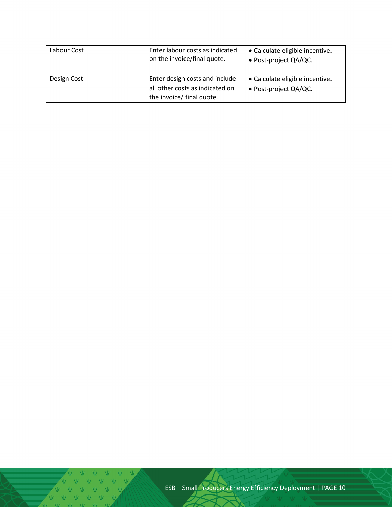| Labour Cost | Enter labour costs as indicated<br>on the invoice/final quote.                                 | • Calculate eligible incentive.<br>• Post-project QA/QC. |
|-------------|------------------------------------------------------------------------------------------------|----------------------------------------------------------|
| Design Cost | Enter design costs and include<br>all other costs as indicated on<br>the invoice/ final quote. | • Calculate eligible incentive.<br>• Post-project QA/QC. |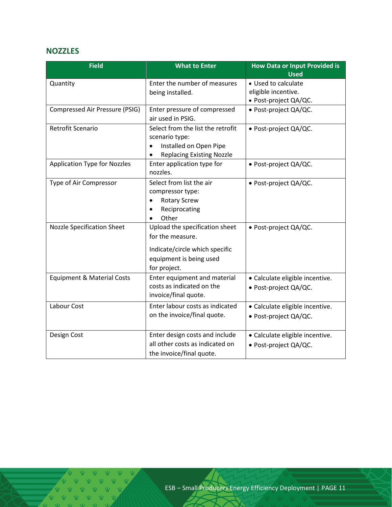#### <span id="page-10-0"></span>**NOZZLES**

| <b>Field</b>                          | <b>What to Enter</b>                | <b>How Data or Input Provided is</b> |
|---------------------------------------|-------------------------------------|--------------------------------------|
|                                       |                                     | <b>Used</b>                          |
| Quantity                              | Enter the number of measures        | • Used to calculate                  |
|                                       | being installed.                    | eligible incentive.                  |
|                                       |                                     | · Post-project QA/QC.                |
| Compressed Air Pressure (PSIG)        | Enter pressure of compressed        | · Post-project QA/QC.                |
|                                       | air used in PSIG.                   |                                      |
| Retrofit Scenario                     | Select from the list the retrofit   | · Post-project QA/QC.                |
|                                       | scenario type:                      |                                      |
|                                       | Installed on Open Pipe<br>$\bullet$ |                                      |
|                                       | <b>Replacing Existing Nozzle</b>    |                                      |
| <b>Application Type for Nozzles</b>   | Enter application type for          | · Post-project QA/QC.                |
|                                       | nozzles.                            |                                      |
| Type of Air Compressor                | Select from list the air            | · Post-project QA/QC.                |
|                                       | compressor type:                    |                                      |
|                                       | <b>Rotary Screw</b>                 |                                      |
|                                       | Reciprocating                       |                                      |
|                                       | Other                               |                                      |
| <b>Nozzle Specification Sheet</b>     | Upload the specification sheet      | · Post-project QA/QC.                |
|                                       | for the measure.                    |                                      |
|                                       | Indicate/circle which specific      |                                      |
|                                       | equipment is being used             |                                      |
|                                       | for project.                        |                                      |
| <b>Equipment &amp; Material Costs</b> | Enter equipment and material        | · Calculate eligible incentive.      |
|                                       | costs as indicated on the           | · Post-project QA/QC.                |
|                                       | invoice/final quote.                |                                      |
| Labour Cost                           | Enter labour costs as indicated     | · Calculate eligible incentive.      |
|                                       | on the invoice/final quote.         | · Post-project QA/QC.                |
|                                       |                                     |                                      |
| Design Cost                           | Enter design costs and include      | · Calculate eligible incentive.      |
|                                       | all other costs as indicated on     | · Post-project QA/QC.                |
|                                       | the invoice/final quote.            |                                      |

 $M = M$   $N$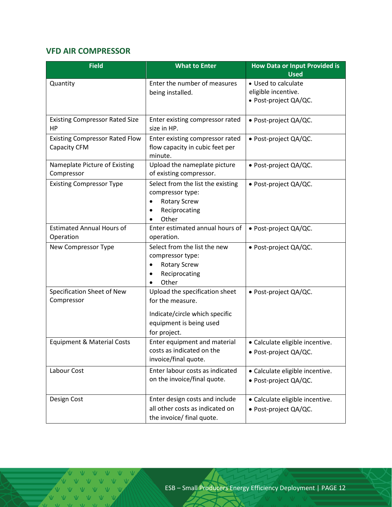# <span id="page-11-0"></span>**VFD AIR COMPRESSOR**

| <b>Field</b>                                          | <b>What to Enter</b>                                                                                                            | <b>How Data or Input Provided is</b><br><b>Used</b>                 |
|-------------------------------------------------------|---------------------------------------------------------------------------------------------------------------------------------|---------------------------------------------------------------------|
| Quantity                                              | Enter the number of measures<br>being installed.                                                                                | • Used to calculate<br>eligible incentive.<br>· Post-project QA/QC. |
| <b>Existing Compressor Rated Size</b><br>HP           | Enter existing compressor rated<br>size in HP.                                                                                  | · Post-project QA/QC.                                               |
| <b>Existing Compressor Rated Flow</b><br>Capacity CFM | Enter existing compressor rated<br>flow capacity in cubic feet per<br>minute.                                                   | • Post-project QA/QC.                                               |
| Nameplate Picture of Existing<br>Compressor           | Upload the nameplate picture<br>of existing compressor.                                                                         | · Post-project QA/QC.                                               |
| <b>Existing Compressor Type</b>                       | Select from the list the existing<br>compressor type:<br><b>Rotary Screw</b><br>Reciprocating<br>Other                          | • Post-project QA/QC.                                               |
| <b>Estimated Annual Hours of</b><br>Operation         | Enter estimated annual hours of<br>operation.                                                                                   | · Post-project QA/QC.                                               |
| New Compressor Type                                   | Select from the list the new<br>compressor type:<br><b>Rotary Screw</b><br>Reciprocating<br>Other                               | · Post-project QA/QC.                                               |
| Specification Sheet of New<br>Compressor              | Upload the specification sheet<br>for the measure.<br>Indicate/circle which specific<br>equipment is being used<br>for project. | · Post-project QA/QC.                                               |
| <b>Equipment &amp; Material Costs</b>                 | Enter equipment and material<br>costs as indicated on the<br>invoice/final quote.                                               | • Calculate eligible incentive.<br>· Post-project QA/QC.            |
| Labour Cost                                           | Enter labour costs as indicated<br>on the invoice/final quote.                                                                  | · Calculate eligible incentive.<br>· Post-project QA/QC.            |
| Design Cost                                           | Enter design costs and include<br>all other costs as indicated on<br>the invoice/ final quote.                                  | · Calculate eligible incentive.<br>· Post-project QA/QC.            |

V V V V V V V V V V V V VVVVV  $M = M$ 

Ŵ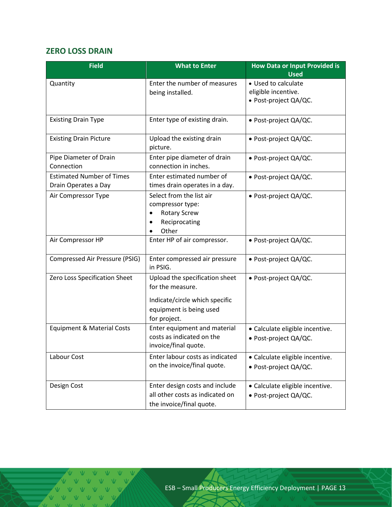# <span id="page-12-0"></span>**ZERO LOSS DRAIN**

| <b>Field</b>                                             | <b>What to Enter</b>                                                                                                            | <b>How Data or Input Provided is</b><br><b>Used</b>                 |
|----------------------------------------------------------|---------------------------------------------------------------------------------------------------------------------------------|---------------------------------------------------------------------|
| Quantity                                                 | Enter the number of measures<br>being installed.                                                                                | • Used to calculate<br>eligible incentive.<br>· Post-project QA/QC. |
| <b>Existing Drain Type</b>                               | Enter type of existing drain.                                                                                                   | • Post-project QA/QC.                                               |
| <b>Existing Drain Picture</b>                            | Upload the existing drain<br>picture.                                                                                           | • Post-project QA/QC.                                               |
| Pipe Diameter of Drain<br>Connection                     | Enter pipe diameter of drain<br>connection in inches.                                                                           | · Post-project QA/QC.                                               |
| <b>Estimated Number of Times</b><br>Drain Operates a Day | Enter estimated number of<br>times drain operates in a day.                                                                     | • Post-project QA/QC.                                               |
| Air Compressor Type                                      | Select from the list air<br>compressor type:<br><b>Rotary Screw</b><br>Reciprocating<br>Other<br>$\bullet$                      | · Post-project QA/QC.                                               |
| Air Compressor HP                                        | Enter HP of air compressor.                                                                                                     | · Post-project QA/QC.                                               |
| Compressed Air Pressure (PSIG)                           | Enter compressed air pressure<br>in PSIG.                                                                                       | · Post-project QA/QC.                                               |
| Zero Loss Specification Sheet                            | Upload the specification sheet<br>for the measure.<br>Indicate/circle which specific<br>equipment is being used<br>for project. | · Post-project QA/QC.                                               |
| <b>Equipment &amp; Material Costs</b>                    | Enter equipment and material<br>costs as indicated on the<br>invoice/final quote.                                               | • Calculate eligible incentive.<br>· Post-project QA/QC.            |
| Labour Cost                                              | Enter labour costs as indicated<br>on the invoice/final quote.                                                                  | • Calculate eligible incentive.<br>· Post-project QA/QC.            |
| Design Cost                                              | Enter design costs and include<br>all other costs as indicated on<br>the invoice/final quote.                                   | • Calculate eligible incentive.<br>· Post-project QA/QC.            |

V V V V V V V V V V V V VVVV  $M = M$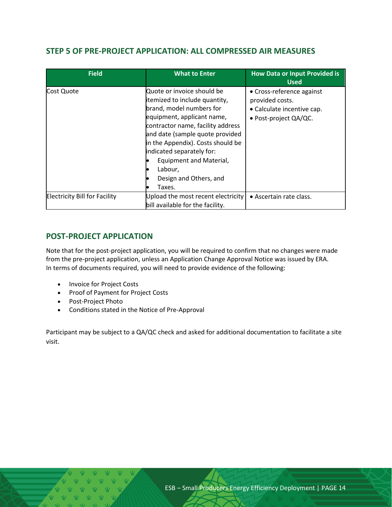#### <span id="page-13-0"></span>**STEP 5 OF PRE-PROJECT APPLICATION: ALL COMPRESSED AIR MEASURES**

| <b>Field</b>                         | <b>What to Enter</b>                                                                                                                                                                                                                                                                                                                      | <b>How Data or Input Provided is</b><br><b>Used</b>                                                 |
|--------------------------------------|-------------------------------------------------------------------------------------------------------------------------------------------------------------------------------------------------------------------------------------------------------------------------------------------------------------------------------------------|-----------------------------------------------------------------------------------------------------|
| Cost Quote                           | Quote or invoice should be<br>itemized to include quantity,<br>brand, model numbers for<br>equipment, applicant name,<br>contractor name, facility address<br>and date (sample quote provided<br>in the Appendix). Costs should be<br>indicated separately for:<br>Equipment and Material,<br>Labour,<br>Design and Others, and<br>Taxes. | • Cross-reference against<br>provided costs.<br>• Calculate incentive cap.<br>· Post-project QA/QC. |
| <b>Electricity Bill for Facility</b> | Upload the most recent electricity<br>bill available for the facility.                                                                                                                                                                                                                                                                    | • Ascertain rate class.                                                                             |

#### <span id="page-13-1"></span>**POST-PROJECT APPLICATION**

Note that for the post-project application, you will be required to confirm that no changes were made from the pre-project application, unless an Application Change Approval Notice was issued by ERA. In terms of documents required, you will need to provide evidence of the following:

- Invoice for Project Costs
- Proof of Payment for Project Costs
- Post-Project Photo
- Conditions stated in the Notice of Pre-Approval

Participant may be subject to a QA/QC check and asked for additional documentation to facilitate a site visit.